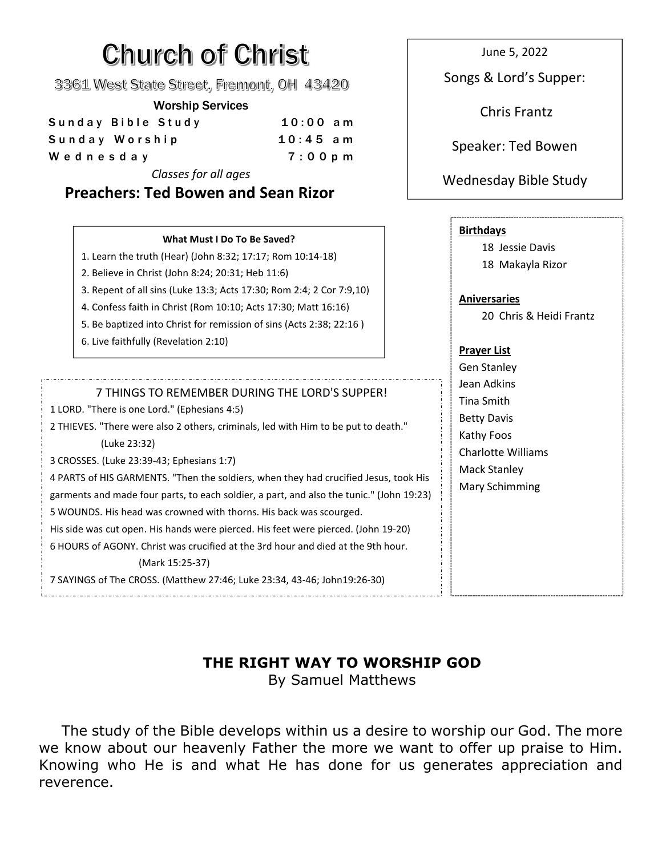# **Church of Christ**

3361 West State Street, Fremont, OH 43420

#### Worship Services

| Sunday Bible Study | $10:00$ am | -------------      |
|--------------------|------------|--------------------|
| Sunday Worship     | $10:45$ am | Speaker: Ted Bowen |
| Wednesday          | $7:00$ pm  |                    |
|                    |            |                    |

*Classes for all ages*

## **Preachers: Ted Bowen and Sean Rizor**

June 5, 2022

Songs & Lord's Supper:

Chris Frantz

### Wednesday Bible Study

| What Must I Do To Be Saved?<br>1. Learn the truth (Hear) (John 8:32; 17:17; Rom 10:14-18)<br>2. Believe in Christ (John 8:24; 20:31; Heb 11:6)<br>3. Repent of all sins (Luke 13:3; Acts 17:30; Rom 2:4; 2 Cor 7:9,10)<br>4. Confess faith in Christ (Rom 10:10; Acts 17:30; Matt 16:16)<br>5. Be baptized into Christ for remission of sins (Acts 2:38; 22:16)<br>6. Live faithfully (Revelation 2:10)                                                                                                                                                                                                                                                                                                                                                                              | <b>Birthdays</b><br>18 Jessie Davis<br>18 Makayla Rizor<br><b>Aniversaries</b><br>20 Chris & Heidi Frantz<br><b>Prayer List</b>                                  |
|--------------------------------------------------------------------------------------------------------------------------------------------------------------------------------------------------------------------------------------------------------------------------------------------------------------------------------------------------------------------------------------------------------------------------------------------------------------------------------------------------------------------------------------------------------------------------------------------------------------------------------------------------------------------------------------------------------------------------------------------------------------------------------------|------------------------------------------------------------------------------------------------------------------------------------------------------------------|
| 7 THINGS TO REMEMBER DURING THE LORD'S SUPPER!<br>1 LORD. "There is one Lord." (Ephesians 4:5)<br>2 THIEVES. "There were also 2 others, criminals, led with Him to be put to death."<br>(Luke 23:32)<br>3 CROSSES. (Luke 23:39-43; Ephesians 1:7)<br>4 PARTS of HIS GARMENTS. "Then the soldiers, when they had crucified Jesus, took His<br>garments and made four parts, to each soldier, a part, and also the tunic." (John 19:23)<br>5 WOUNDS. His head was crowned with thorns. His back was scourged.<br>His side was cut open. His hands were pierced. His feet were pierced. (John 19-20)<br>6 HOURS of AGONY, Christ was crucified at the 3rd hour and died at the 9th hour.<br>(Mark 15:25-37)<br>7 SAYINGS of The CROSS. (Matthew 27:46; Luke 23:34, 43-46; John19:26-30) | <b>Gen Stanley</b><br>Jean Adkins<br><b>Tina Smith</b><br><b>Betty Davis</b><br>Kathy Foos<br><b>Charlotte Williams</b><br><b>Mack Stanley</b><br>Mary Schimming |

#### **THE RIGHT WAY TO WORSHIP GOD** By Samuel Matthews

The study of the Bible develops within us a desire to worship our God. The more we know about our heavenly Father the more we want to offer up praise to Him. Knowing who He is and what He has done for us generates appreciation and reverence.